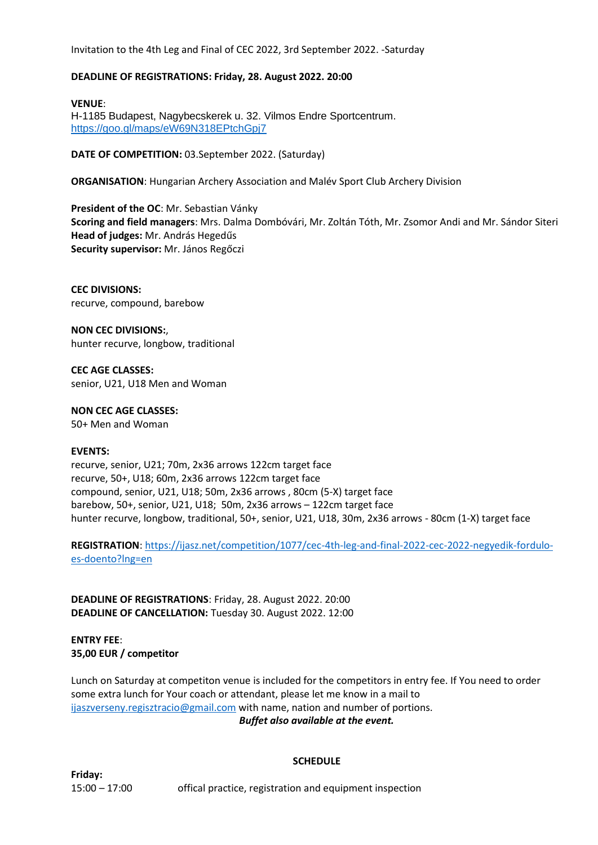Invitation to the 4th Leg and Final of CEC 2022, 3rd September 2022. -Saturday

# **DEADLINE OF REGISTRATIONS: Friday, 28. August 2022. 20:00**

**VENUE**: H-1185 Budapest, Nagybecskerek u. 32. Vilmos Endre Sportcentrum. <https://goo.gl/maps/eW69N318EPtchGpj7>

**DATE OF COMPETITION:** 03.September 2022. (Saturday)

**ORGANISATION**: Hungarian Archery Association and Malév Sport Club Archery Division

**President of the OC**: Mr. Sebastian Vánky **Scoring and field managers**: Mrs. Dalma Dombóvári, Mr. Zoltán Tóth, Mr. Zsomor Andi and Mr. Sándor Siteri **Head of judges:** Mr. András Hegedűs **Security supervisor:** Mr. János Regőczi

**CEC DIVISIONS:** recurve, compound, barebow

**NON CEC DIVISIONS:**, hunter recurve, longbow, traditional

**CEC AGE CLASSES:** senior, U21, U18 Men and Woman

**NON CEC AGE CLASSES:** 50+ Men and Woman

### **EVENTS:**

recurve, senior, U21; 70m, 2x36 arrows 122cm target face recurve, 50+, U18; 60m, 2x36 arrows 122cm target face compound, senior, U21, U18; 50m, 2x36 arrows , 80cm (5-X) target face barebow, 50+, senior, U21, U18; 50m, 2x36 arrows – 122cm target face hunter recurve, longbow, traditional, 50+, senior, U21, U18, 30m, 2x36 arrows - 80cm (1-X) target face

**REGISTRATION**: [https://ijasz.net/competition/1077/cec-4th-leg-and-final-2022-cec-2022-negyedik-fordulo](https://ijasz.net/competition/1077/cec-4th-leg-and-final-2022-cec-2022-negyedik-fordulo-es-doento?lng=en)[es-doento?lng=en](https://ijasz.net/competition/1077/cec-4th-leg-and-final-2022-cec-2022-negyedik-fordulo-es-doento?lng=en)

**DEADLINE OF REGISTRATIONS**: Friday, 28. August 2022. 20:00 **DEADLINE OF CANCELLATION:** Tuesday 30. August 2022. 12:00

**ENTRY FEE**: **35,00 EUR / competitor**

Lunch on Saturday at competiton venue is included for the competitors in entry fee. If You need to order some extra lunch for Your coach or attendant, please let me know in a mail to [ijaszverseny.regisztracio@gmail.com](mailto:ijaszverseny.regisztracio@gmail.com) with name, nation and number of portions. *Buffet also available at the event.*

### **SCHEDULE**